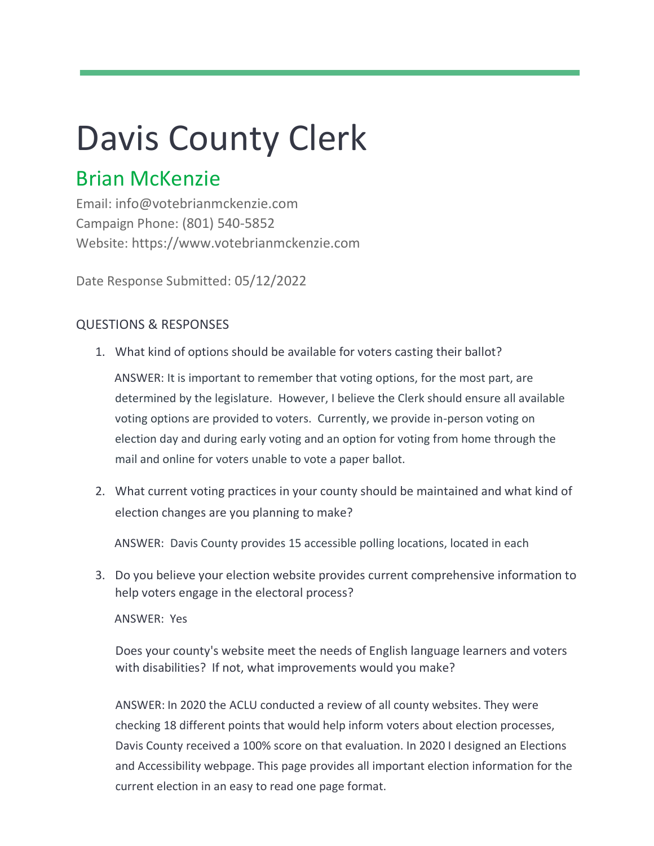# Davis County Clerk

## Brian McKenzie

Email: info@votebrianmckenzie.com Campaign Phone: (801) 540-5852 Website: https://www.votebrianmckenzie.com

Date Response Submitted: 05/12/2022

## QUESTIONS & RESPONSES

1. What kind of options should be available for voters casting their ballot?

ANSWER: It is important to remember that voting options, for the most part, are determined by the legislature. However, I believe the Clerk should ensure all available voting options are provided to voters. Currently, we provide in-person voting on election day and during early voting and an option for voting from home through the mail and online for voters unable to vote a paper ballot.

2. What current voting practices in your county should be maintained and what kind of election changes are you planning to make?

ANSWER: Davis County provides 15 accessible polling locations, located in each

3. Do you believe your election website provides current comprehensive information to help voters engage in the electoral process?

ANSWER: Yes

Does your county's website meet the needs of English language learners and voters with disabilities? If not, what improvements would you make?

ANSWER: In 2020 the ACLU conducted a review of all county websites. They were checking 18 different points that would help inform voters about election processes, Davis County received a 100% score on that evaluation. In 2020 I designed an Elections and Accessibility webpage. This page provides all important election information for the current election in an easy to read one page format.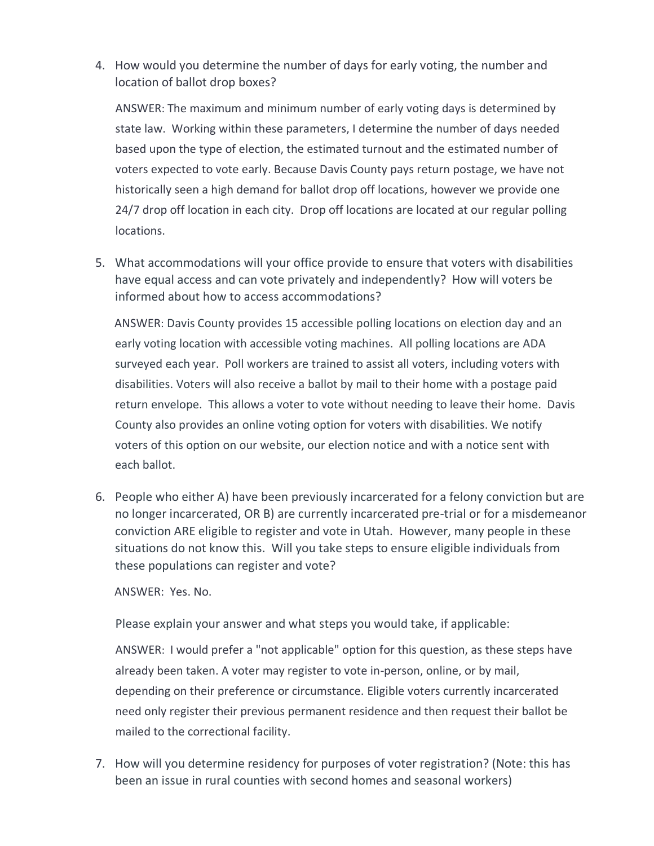4. How would you determine the number of days for early voting, the number and location of ballot drop boxes?

ANSWER: The maximum and minimum number of early voting days is determined by state law. Working within these parameters, I determine the number of days needed based upon the type of election, the estimated turnout and the estimated number of voters expected to vote early. Because Davis County pays return postage, we have not historically seen a high demand for ballot drop off locations, however we provide one 24/7 drop off location in each city. Drop off locations are located at our regular polling locations.

5. What accommodations will your office provide to ensure that voters with disabilities have equal access and can vote privately and independently? How will voters be informed about how to access accommodations?

ANSWER: Davis County provides 15 accessible polling locations on election day and an early voting location with accessible voting machines. All polling locations are ADA surveyed each year. Poll workers are trained to assist all voters, including voters with disabilities. Voters will also receive a ballot by mail to their home with a postage paid return envelope. This allows a voter to vote without needing to leave their home. Davis County also provides an online voting option for voters with disabilities. We notify voters of this option on our website, our election notice and with a notice sent with each ballot.

6. People who either A) have been previously incarcerated for a felony conviction but are no longer incarcerated, OR B) are currently incarcerated pre-trial or for a misdemeanor conviction ARE eligible to register and vote in Utah. However, many people in these situations do not know this. Will you take steps to ensure eligible individuals from these populations can register and vote?

ANSWER: Yes. No.

Please explain your answer and what steps you would take, if applicable:

ANSWER: I would prefer a "not applicable" option for this question, as these steps have already been taken. A voter may register to vote in-person, online, or by mail, depending on their preference or circumstance. Eligible voters currently incarcerated need only register their previous permanent residence and then request their ballot be mailed to the correctional facility.

7. How will you determine residency for purposes of voter registration? (Note: this has been an issue in rural counties with second homes and seasonal workers)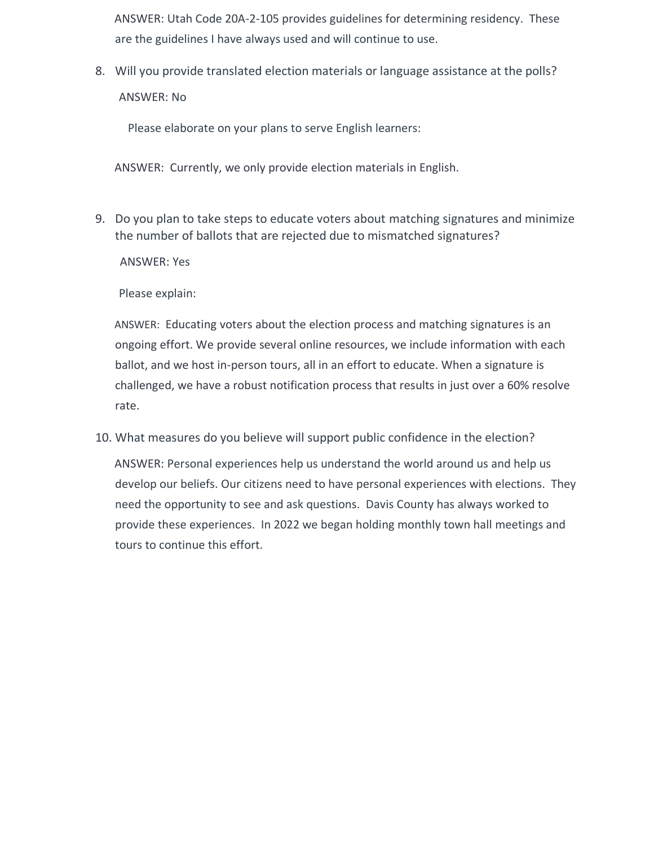ANSWER: Utah Code 20A-2-105 provides guidelines for determining residency. These are the guidelines I have always used and will continue to use.

8. Will you provide translated election materials or language assistance at the polls? ANSWER: No

Please elaborate on your plans to serve English learners:

ANSWER: Currently, we only provide election materials in English.

9. Do you plan to take steps to educate voters about matching signatures and minimize the number of ballots that are rejected due to mismatched signatures?

ANSWER: Yes

Please explain:

ANSWER: Educating voters about the election process and matching signatures is an ongoing effort. We provide several online resources, we include information with each ballot, and we host in-person tours, all in an effort to educate. When a signature is challenged, we have a robust notification process that results in just over a 60% resolve rate.

10. What measures do you believe will support public confidence in the election?

ANSWER: Personal experiences help us understand the world around us and help us develop our beliefs. Our citizens need to have personal experiences with elections. They need the opportunity to see and ask questions. Davis County has always worked to provide these experiences. In 2022 we began holding monthly town hall meetings and tours to continue this effort.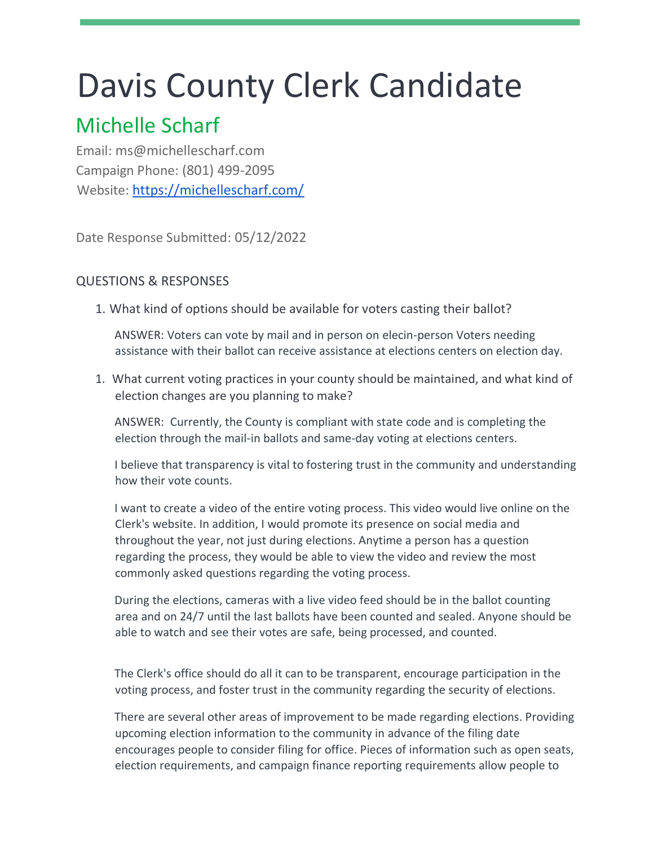## Davis County Clerk Candidate

## Michelle Scharf

Email: ms@michellescharf.com Campaign Phone: (801) 499-2095 Website: https://michellescharf.com/

Date Response Submitted: 05/12/2022

## QUESTIONS & RESPONSES

1. What kind of options should be available for voters casting their ballot?

ANSWER: Voters can vote by mail and in person on elecin-person Voters needing assistance with their ballot can receive assistance at elections centers on election day.

1. What current voting practices in your county should be maintained, and what kind of election changes are you planning to make?

ANSWER: Currently, the County is compliant with state code and is completing the election through the mail-in ballots and same-day voting at elections centers.

I believe that transparency is vital to fostering trust in the community and understanding how their vote counts.

I want to create a video of the entire voting process. This video would live online on the Clerk's website. In addition, I would promote its presence on social media and throughout the year, not just during elections. Anytime a person has a question regarding the process, they would be able to view the video and review the most commonly asked questions regarding the voting process.

During the elections, cameras with a live video feed should be in the ballot counting area and on 24/7 until the last ballots have been counted and sealed. Anyone should be able to watch and see their votes are safe, being processed, and counted.

The Clerk's office should do all it can to be transparent, encourage participation in the voting process, and foster trust in the community regarding the security of elections.

There are several other areas of improvement to be made regarding elections. Providing upcoming election information to the community in advance of the filing date encourages people to consider filing for office. Pieces of information such as open seats, election requirements, and campaign finance reporting requirements allow people to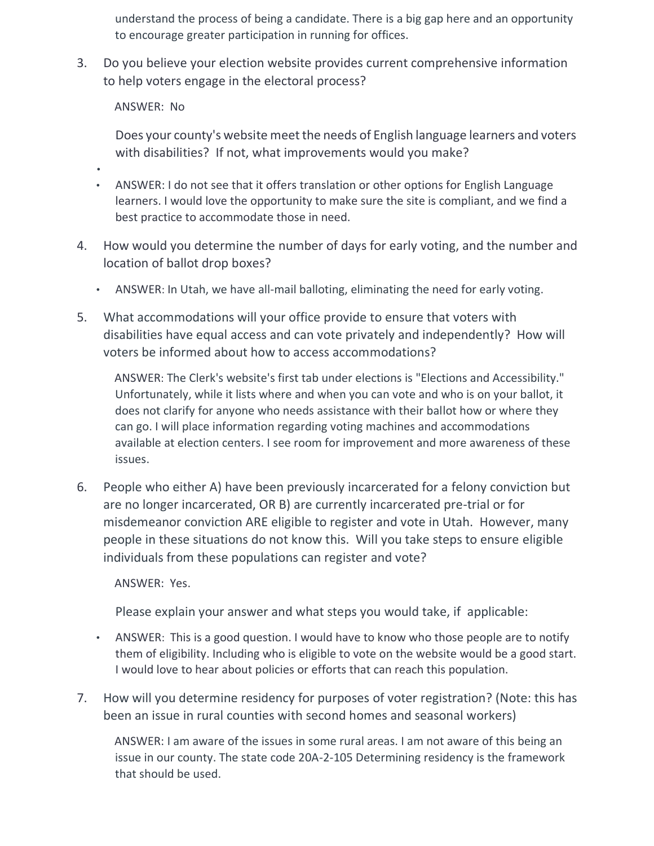understand the process of being a candidate. There is a big gap here and an opportunity to encourage greater participation in running for offices.

3. Do you believe your election website provides current comprehensive information to help voters engage in the electoral process?

ANSWER: No

•

Does your county's website meet the needs of English language learners and voters with disabilities? If not, what improvements would you make?

- ANSWER: I do not see that it offers translation or other options for English Language learners. I would love the opportunity to make sure the site is compliant, and we find a best practice to accommodate those in need.
- 4. How would you determine the number of days for early voting, and the number and location of ballot drop boxes?
	- ANSWER: In Utah, we have all-mail balloting, eliminating the need for early voting.
- 5. What accommodations will your office provide to ensure that voters with disabilities have equal access and can vote privately and independently? How will voters be informed about how to access accommodations?

ANSWER: The Clerk's website's first tab under elections is "Elections and Accessibility." Unfortunately, while it lists where and when you can vote and who is on your ballot, it does not clarify for anyone who needs assistance with their ballot how or where they can go. I will place information regarding voting machines and accommodations available at election centers. I see room for improvement and more awareness of these issues.

6. People who either A) have been previously incarcerated for a felony conviction but are no longer incarcerated, OR B) are currently incarcerated pre-trial or for misdemeanor conviction ARE eligible to register and vote in Utah. However, many people in these situations do not know this. Will you take steps to ensure eligible individuals from these populations can register and vote?

ANSWER: Yes.

Please explain your answer and what steps you would take, if applicable:

- ANSWER: This is a good question. I would have to know who those people are to notify them of eligibility. Including who is eligible to vote on the website would be a good start. I would love to hear about policies or efforts that can reach this population.
- 7. How will you determine residency for purposes of voter registration? (Note: this has been an issue in rural counties with second homes and seasonal workers)

ANSWER: I am aware of the issues in some rural areas. I am not aware of this being an issue in our county. The state code 20A-2-105 Determining residency is the framework that should be used.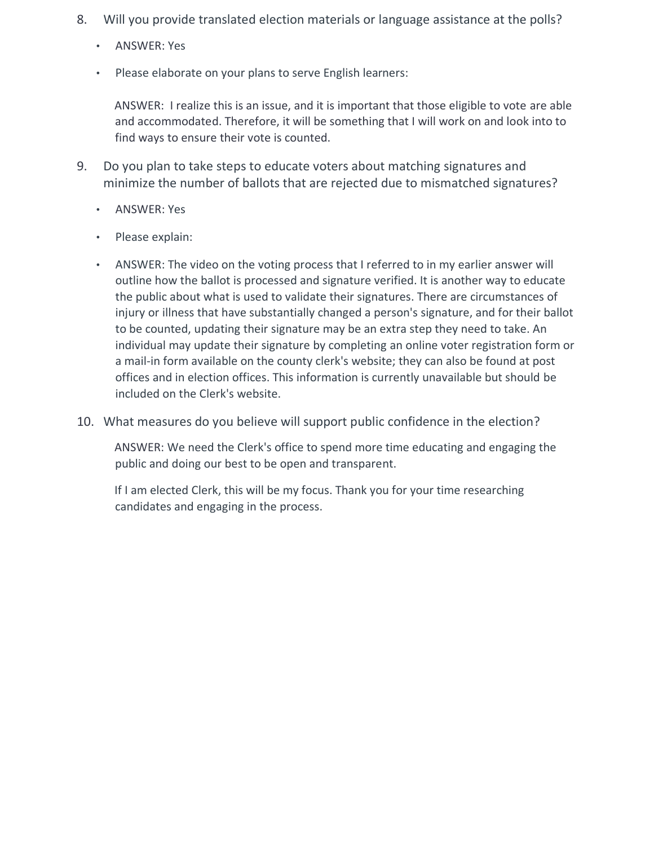- 8. Will you provide translated election materials or language assistance at the polls?
	- ANSWER: Yes
	- Please elaborate on your plans to serve English learners:

ANSWER: I realize this is an issue, and it is important that those eligible to vote are able and accommodated. Therefore, it will be something that I will work on and look into to find ways to ensure their vote is counted.

- 9. Do you plan to take steps to educate voters about matching signatures and minimize the number of ballots that are rejected due to mismatched signatures?
	- ANSWER: Yes
	- Please explain:
	- ANSWER: The video on the voting process that I referred to in my earlier answer will outline how the ballot is processed and signature verified. It is another way to educate the public about what is used to validate their signatures. There are circumstances of injury or illness that have substantially changed a person's signature, and for their ballot to be counted, updating their signature may be an extra step they need to take. An individual may update their signature by completing an online voter registration form or a mail-in form available on the county clerk's website; they can also be found at post offices and in election offices. This information is currently unavailable but should be included on the Clerk's website.
- 10. What measures do you believe will support public confidence in the election?

ANSWER: We need the Clerk's office to spend more time educating and engaging the public and doing our best to be open and transparent.

If I am elected Clerk, this will be my focus. Thank you for your time researching candidates and engaging in the process.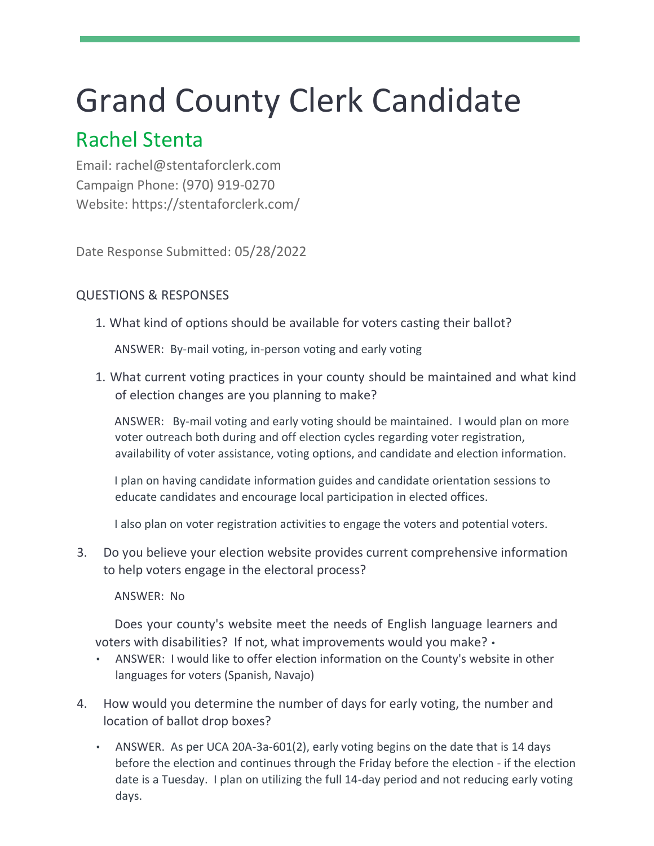## Grand County Clerk Candidate

## Rachel Stenta

Email: rachel@stentaforclerk.com Campaign Phone: (970) 919-0270 Website: https://stentaforclerk.com/

Date Response Submitted: 05/28/2022

## QUESTIONS & RESPONSES

1. What kind of options should be available for voters casting their ballot?

ANSWER: By-mail voting, in-person voting and early voting

1. What current voting practices in your county should be maintained and what kind of election changes are you planning to make?

ANSWER: By-mail voting and early voting should be maintained. I would plan on more voter outreach both during and off election cycles regarding voter registration, availability of voter assistance, voting options, and candidate and election information.

I plan on having candidate information guides and candidate orientation sessions to educate candidates and encourage local participation in elected offices.

I also plan on voter registration activities to engage the voters and potential voters.

3. Do you believe your election website provides current comprehensive information to help voters engage in the electoral process?

ANSWER: No

Does your county's website meet the needs of English language learners and voters with disabilities? If not, what improvements would you make? •

- ANSWER: I would like to offer election information on the County's website in other languages for voters (Spanish, Navajo)
- 4. How would you determine the number of days for early voting, the number and location of ballot drop boxes?
	- ANSWER. As per UCA 20A-3a-601(2), early voting begins on the date that is 14 days before the election and continues through the Friday before the election - if the election date is a Tuesday. I plan on utilizing the full 14-day period and not reducing early voting days.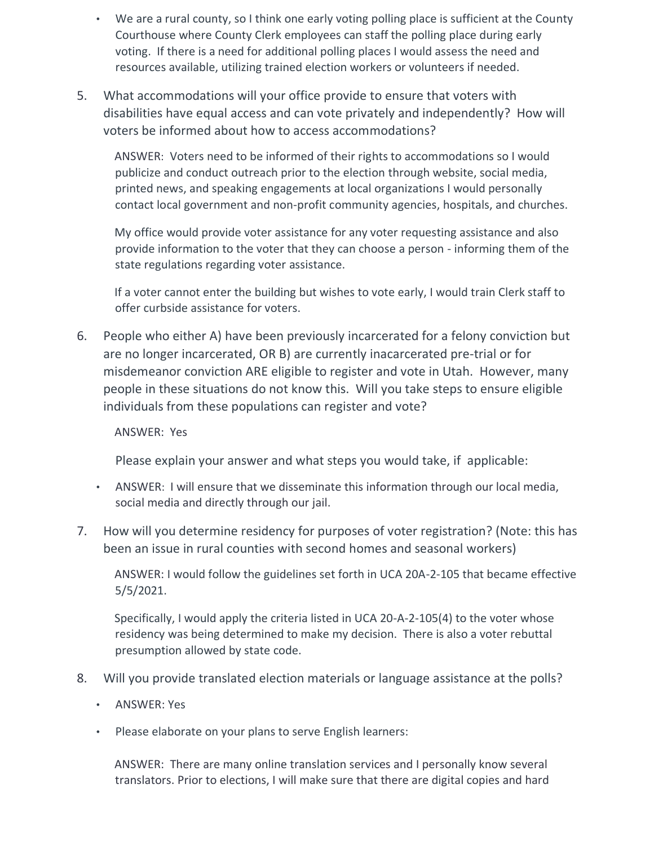- We are a rural county, so I think one early voting polling place is sufficient at the County Courthouse where County Clerk employees can staff the polling place during early voting. If there is a need for additional polling places I would assess the need and resources available, utilizing trained election workers or volunteers if needed.
- 5. What accommodations will your office provide to ensure that voters with disabilities have equal access and can vote privately and independently? How will voters be informed about how to access accommodations?

ANSWER: Voters need to be informed of their rights to accommodations so I would publicize and conduct outreach prior to the election through website, social media, printed news, and speaking engagements at local organizations I would personally contact local government and non-profit community agencies, hospitals, and churches.

My office would provide voter assistance for any voter requesting assistance and also provide information to the voter that they can choose a person - informing them of the state regulations regarding voter assistance.

If a voter cannot enter the building but wishes to vote early, I would train Clerk staff to offer curbside assistance for voters.

6. People who either A) have been previously incarcerated for a felony conviction but are no longer incarcerated, OR B) are currently inacarcerated pre-trial or for misdemeanor conviction ARE eligible to register and vote in Utah. However, many people in these situations do not know this. Will you take steps to ensure eligible individuals from these populations can register and vote?

#### ANSWER: Yes

Please explain your answer and what steps you would take, if applicable:

- ANSWER: I will ensure that we disseminate this information through our local media, social media and directly through our jail.
- 7. How will you determine residency for purposes of voter registration? (Note: this has been an issue in rural counties with second homes and seasonal workers)

ANSWER: I would follow the guidelines set forth in UCA 20A-2-105 that became effective 5/5/2021.

Specifically, I would apply the criteria listed in UCA 20-A-2-105(4) to the voter whose residency was being determined to make my decision. There is also a voter rebuttal presumption allowed by state code.

- 8. Will you provide translated election materials or language assistance at the polls?
	- ANSWER: Yes
	- Please elaborate on your plans to serve English learners:

ANSWER: There are many online translation services and I personally know several translators. Prior to elections, I will make sure that there are digital copies and hard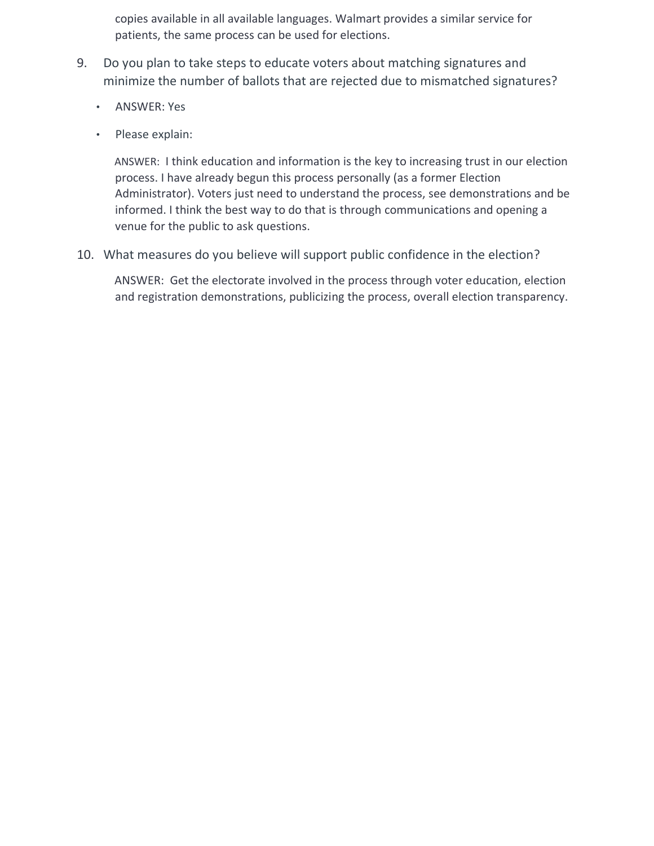copies available in all available languages. Walmart provides a similar service for patients, the same process can be used for elections.

- 9. Do you plan to take steps to educate voters about matching signatures and minimize the number of ballots that are rejected due to mismatched signatures?
	- ANSWER: Yes
	- Please explain:

ANSWER: I think education and information is the key to increasing trust in our election process. I have already begun this process personally (as a former Election Administrator). Voters just need to understand the process, see demonstrations and be informed. I think the best way to do that is through communications and opening a venue for the public to ask questions.

10. What measures do you believe will support public confidence in the election?

ANSWER: Get the electorate involved in the process through voter education, election and registration demonstrations, publicizing the process, overall election transparency.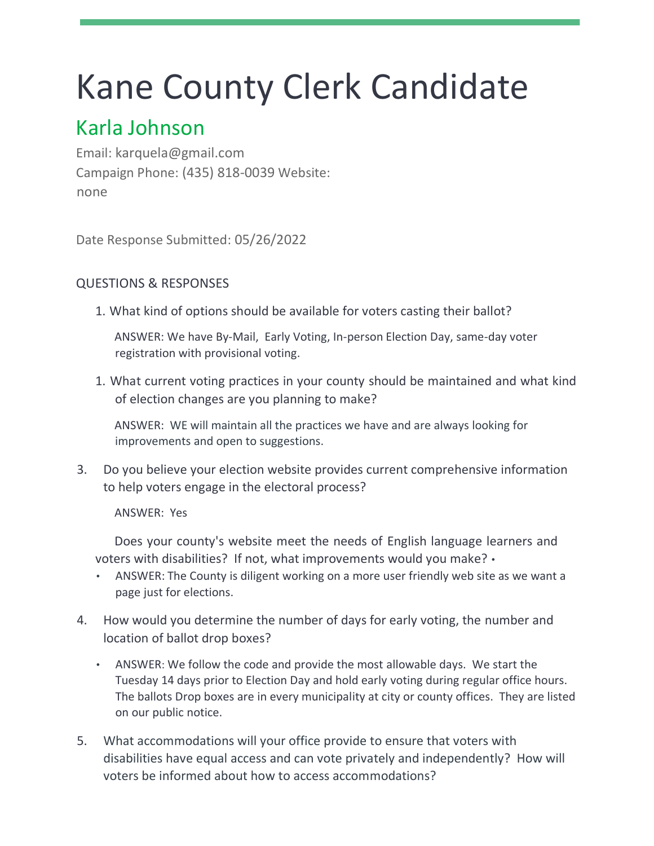# Kane County Clerk Candidate

## Karla Johnson

Email: karquela@gmail.com Campaign Phone: (435) 818-0039 Website: none

Date Response Submitted: 05/26/2022

### QUESTIONS & RESPONSES

1. What kind of options should be available for voters casting their ballot?

ANSWER: We have By-Mail, Early Voting, In-person Election Day, same-day voter registration with provisional voting.

1. What current voting practices in your county should be maintained and what kind of election changes are you planning to make?

ANSWER: WE will maintain all the practices we have and are always looking for improvements and open to suggestions.

3. Do you believe your election website provides current comprehensive information to help voters engage in the electoral process?

ANSWER: Yes

Does your county's website meet the needs of English language learners and voters with disabilities? If not, what improvements would you make? •

- ANSWER: The County is diligent working on a more user friendly web site as we want a page just for elections.
- 4. How would you determine the number of days for early voting, the number and location of ballot drop boxes?
	- ANSWER: We follow the code and provide the most allowable days. We start the Tuesday 14 days prior to Election Day and hold early voting during regular office hours. The ballots Drop boxes are in every municipality at city or county offices. They are listed on our public notice.
- 5. What accommodations will your office provide to ensure that voters with disabilities have equal access and can vote privately and independently? How will voters be informed about how to access accommodations?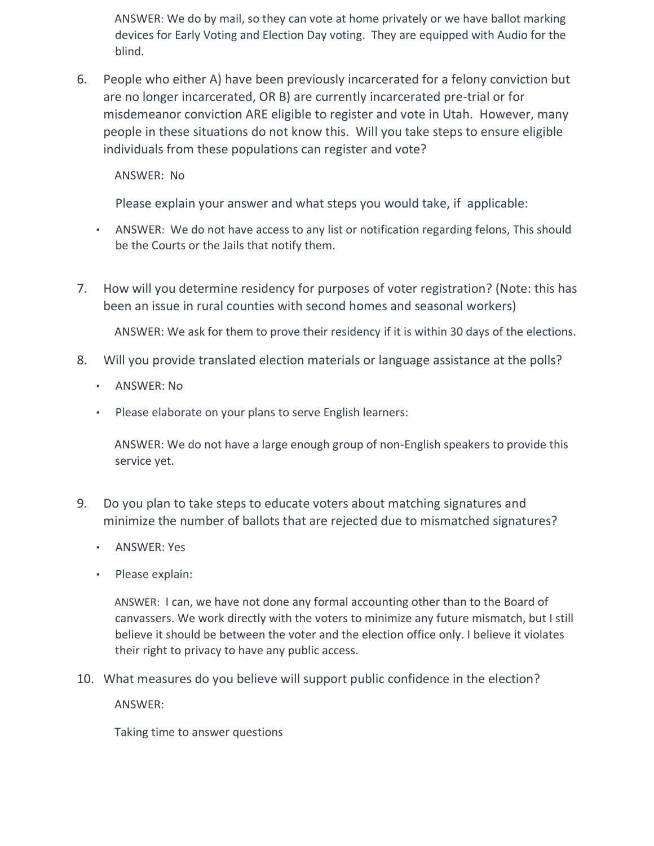ANSWER: We do by mail, so they can vote at home privately or we have ballot marking devices for Early Voting and Election Day voting. They are equipped with Audio for the blind.

6. People who either A) have been previously incarcerated for a felony conviction but are no longer incarcerated, OR B) are currently incarcerated pre-trial or for misdemeanor conviction ARE eligible to register and vote in Utah. However, many people in these situations do not know this. Will you take steps to ensure eligible individuals from these populations can register and vote?

ANSWER: No

Please explain your answer and what steps you would take, if applicable:

- ANSWER: We do not have access to any list or notification regarding felons, This should be the Courts or the Jails that notify them.
- 7. How will you determine residency for purposes of voter registration? (Note: this has been an issue in rural counties with second homes and seasonal workers)

ANSWER: We ask for them to prove their residency if it is within 30 days of the elections.

- 8. Will you provide translated election materials or language assistance at the polls?
	- ANSWER: No
	- Please elaborate on your plans to serve English learners:

ANSWER: We do not have a large enough group of non-English speakers to provide this service yet.

- 9. Do you plan to take steps to educate voters about matching signatures and minimize the number of ballots that are rejected due to mismatched signatures?
	- ANSWER: Yes
	- Please explain:

ANSWER: I can, we have not done any formal accounting other than to the Board of canvassers. We work directly with the voters to minimize any future mismatch, but I still believe it should be between the voter and the election office only. I believe it violates their right to privacy to have any public access.

10. What measures do you believe will support public confidence in the election?

ANSWER:

Taking time to answer questions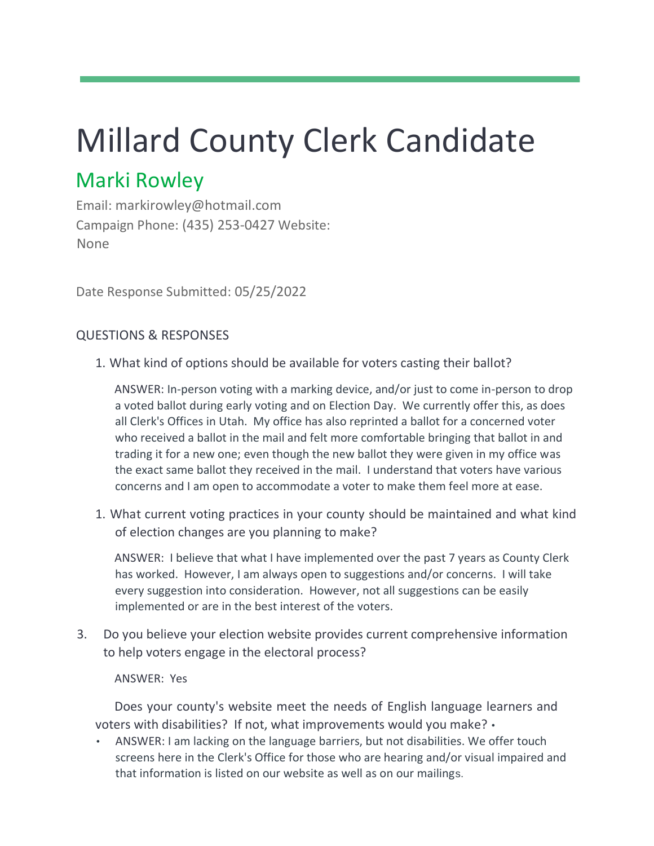# Millard County Clerk Candidate

## Marki Rowley

Email: markirowley@hotmail.com Campaign Phone: (435) 253-0427 Website: None

Date Response Submitted: 05/25/2022

## QUESTIONS & RESPONSES

1. What kind of options should be available for voters casting their ballot?

ANSWER: In-person voting with a marking device, and/or just to come in-person to drop a voted ballot during early voting and on Election Day. We currently offer this, as does all Clerk's Offices in Utah. My office has also reprinted a ballot for a concerned voter who received a ballot in the mail and felt more comfortable bringing that ballot in and trading it for a new one; even though the new ballot they were given in my office was the exact same ballot they received in the mail. I understand that voters have various concerns and I am open to accommodate a voter to make them feel more at ease.

1. What current voting practices in your county should be maintained and what kind of election changes are you planning to make?

ANSWER: I believe that what I have implemented over the past 7 years as County Clerk has worked. However, I am always open to suggestions and/or concerns. I will take every suggestion into consideration. However, not all suggestions can be easily implemented or are in the best interest of the voters.

3. Do you believe your election website provides current comprehensive information to help voters engage in the electoral process?

ANSWER: Yes

Does your county's website meet the needs of English language learners and voters with disabilities? If not, what improvements would you make? •

• ANSWER: I am lacking on the language barriers, but not disabilities. We offer touch screens here in the Clerk's Office for those who are hearing and/or visual impaired and that information is listed on our website as well as on our mailings.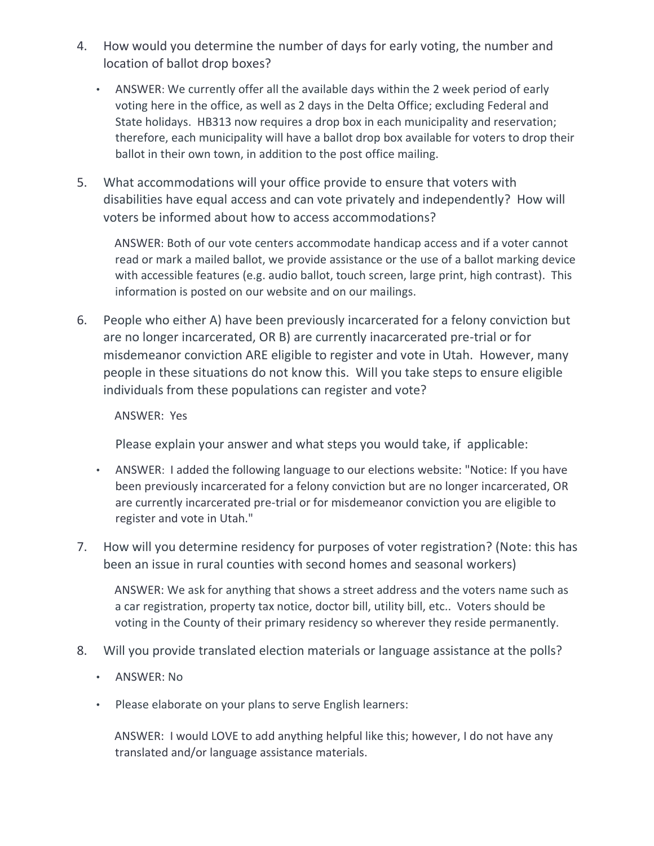- 4. How would you determine the number of days for early voting, the number and location of ballot drop boxes?
	- ANSWER: We currently offer all the available days within the 2 week period of early voting here in the office, as well as 2 days in the Delta Office; excluding Federal and State holidays. HB313 now requires a drop box in each municipality and reservation; therefore, each municipality will have a ballot drop box available for voters to drop their ballot in their own town, in addition to the post office mailing.
- 5. What accommodations will your office provide to ensure that voters with disabilities have equal access and can vote privately and independently? How will voters be informed about how to access accommodations?

ANSWER: Both of our vote centers accommodate handicap access and if a voter cannot read or mark a mailed ballot, we provide assistance or the use of a ballot marking device with accessible features (e.g. audio ballot, touch screen, large print, high contrast). This information is posted on our website and on our mailings.

6. People who either A) have been previously incarcerated for a felony conviction but are no longer incarcerated, OR B) are currently inacarcerated pre-trial or for misdemeanor conviction ARE eligible to register and vote in Utah. However, many people in these situations do not know this. Will you take steps to ensure eligible individuals from these populations can register and vote?

#### ANSWER: Yes

Please explain your answer and what steps you would take, if applicable:

- ANSWER: I added the following language to our elections website: "Notice: If you have been previously incarcerated for a felony conviction but are no longer incarcerated, OR are currently incarcerated pre-trial or for misdemeanor conviction you are eligible to register and vote in Utah."
- 7. How will you determine residency for purposes of voter registration? (Note: this has been an issue in rural counties with second homes and seasonal workers)

ANSWER: We ask for anything that shows a street address and the voters name such as a car registration, property tax notice, doctor bill, utility bill, etc.. Voters should be voting in the County of their primary residency so wherever they reside permanently.

- 8. Will you provide translated election materials or language assistance at the polls?
	- ANSWER: No
	- Please elaborate on your plans to serve English learners:

ANSWER: I would LOVE to add anything helpful like this; however, I do not have any translated and/or language assistance materials.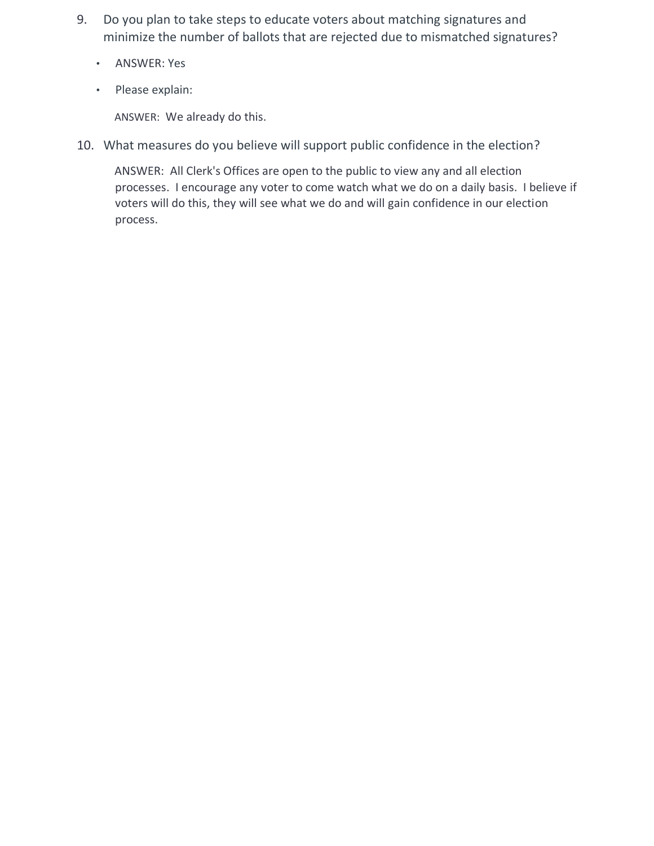- 9. Do you plan to take steps to educate voters about matching signatures and minimize the number of ballots that are rejected due to mismatched signatures?
	- ANSWER: Yes
	- Please explain:

ANSWER: We already do this.

10. What measures do you believe will support public confidence in the election?

ANSWER: All Clerk's Offices are open to the public to view any and all election processes. I encourage any voter to come watch what we do on a daily basis. I believe if voters will do this, they will see what we do and will gain confidence in our election process.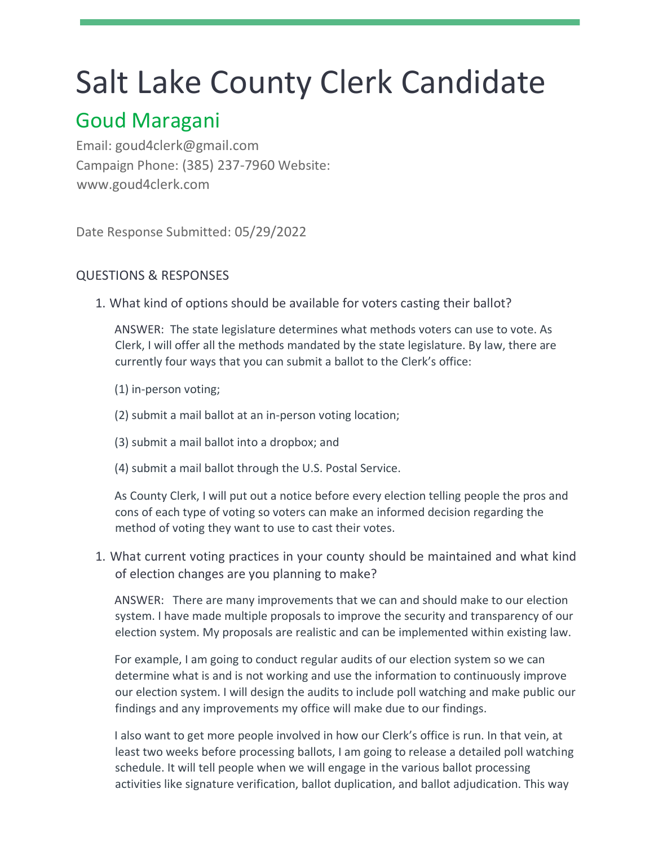## Salt Lake County Clerk Candidate

## Goud Maragani

Email: goud4clerk@gmail.com Campaign Phone: (385) 237-7960 Website: www.goud4clerk.com

Date Response Submitted: 05/29/2022

### QUESTIONS & RESPONSES

1. What kind of options should be available for voters casting their ballot?

ANSWER: The state legislature determines what methods voters can use to vote. As Clerk, I will offer all the methods mandated by the state legislature. By law, there are currently four ways that you can submit a ballot to the Clerk's office:

- (1) in-person voting;
- (2) submit a mail ballot at an in-person voting location;
- (3) submit a mail ballot into a dropbox; and
- (4) submit a mail ballot through the U.S. Postal Service.

As County Clerk, I will put out a notice before every election telling people the pros and cons of each type of voting so voters can make an informed decision regarding the method of voting they want to use to cast their votes.

1. What current voting practices in your county should be maintained and what kind of election changes are you planning to make?

ANSWER: There are many improvements that we can and should make to our election system. I have made multiple proposals to improve the security and transparency of our election system. My proposals are realistic and can be implemented within existing law.

For example, I am going to conduct regular audits of our election system so we can determine what is and is not working and use the information to continuously improve our election system. I will design the audits to include poll watching and make public our findings and any improvements my office will make due to our findings.

I also want to get more people involved in how our Clerk's office is run. In that vein, at least two weeks before processing ballots, I am going to release a detailed poll watching schedule. It will tell people when we will engage in the various ballot processing activities like signature verification, ballot duplication, and ballot adjudication. This way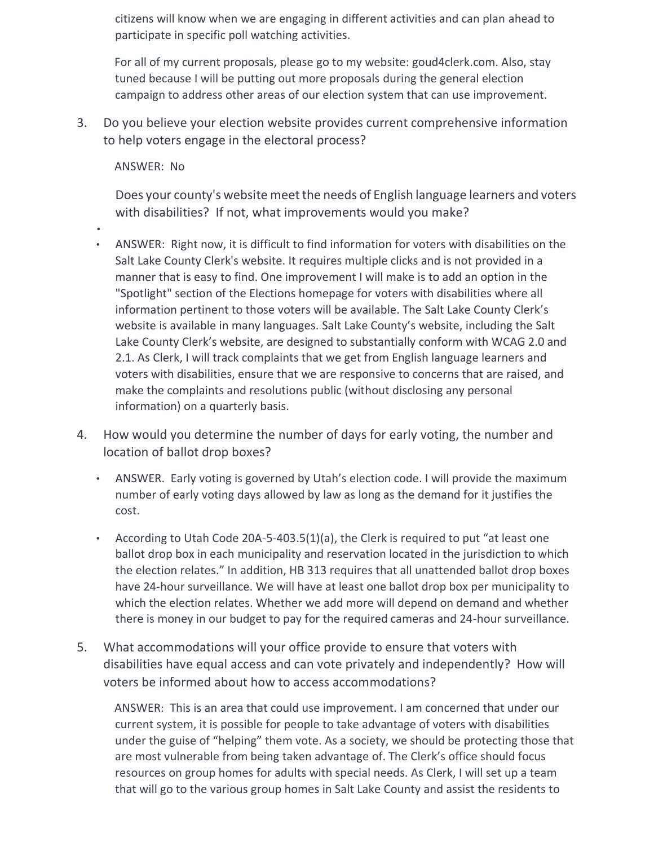citizens will know when we are engaging in different activities and can plan ahead to participate in specific poll watching activities.

For all of my current proposals, please go to my website: goud4clerk.com. Also, stay tuned because I will be putting out more proposals during the general election campaign to address other areas of our election system that can use improvement.

3. Do you believe your election website provides current comprehensive information to help voters engage in the electoral process?

ANSWER: No

Does your county's website meet the needs of English language learners and voters with disabilities? If not, what improvements would you make?

- •
- ANSWER: Right now, it is difficult to find information for voters with disabilities on the Salt Lake County Clerk's website. It requires multiple clicks and is not provided in a manner that is easy to find. One improvement I will make is to add an option in the "Spotlight" section of the Elections homepage for voters with disabilities where all information pertinent to those voters will be available. The Salt Lake County Clerk's website is available in many languages. Salt Lake County's website, including the Salt Lake County Clerk's website, are designed to substantially conform with WCAG 2.0 and 2.1. As Clerk, I will track complaints that we get from English language learners and voters with disabilities, ensure that we are responsive to concerns that are raised, and make the complaints and resolutions public (without disclosing any personal information) on a quarterly basis.
- 4. How would you determine the number of days for early voting, the number and location of ballot drop boxes?
	- ANSWER. Early voting is governed by Utah's election code. I will provide the maximum number of early voting days allowed by law as long as the demand for it justifies the cost.
	- According to Utah Code 20A-5-403.5(1)(a), the Clerk is required to put "at least one ballot drop box in each municipality and reservation located in the jurisdiction to which the election relates." In addition, HB 313 requires that all unattended ballot drop boxes have 24-hour surveillance. We will have at least one ballot drop box per municipality to which the election relates. Whether we add more will depend on demand and whether there is money in our budget to pay for the required cameras and 24-hour surveillance.
- 5. What accommodations will your office provide to ensure that voters with disabilities have equal access and can vote privately and independently? How will voters be informed about how to access accommodations?

ANSWER: This is an area that could use improvement. I am concerned that under our current system, it is possible for people to take advantage of voters with disabilities under the guise of "helping" them vote. As a society, we should be protecting those that are most vulnerable from being taken advantage of. The Clerk's office should focus resources on group homes for adults with special needs. As Clerk, I will set up a team that will go to the various group homes in Salt Lake County and assist the residents to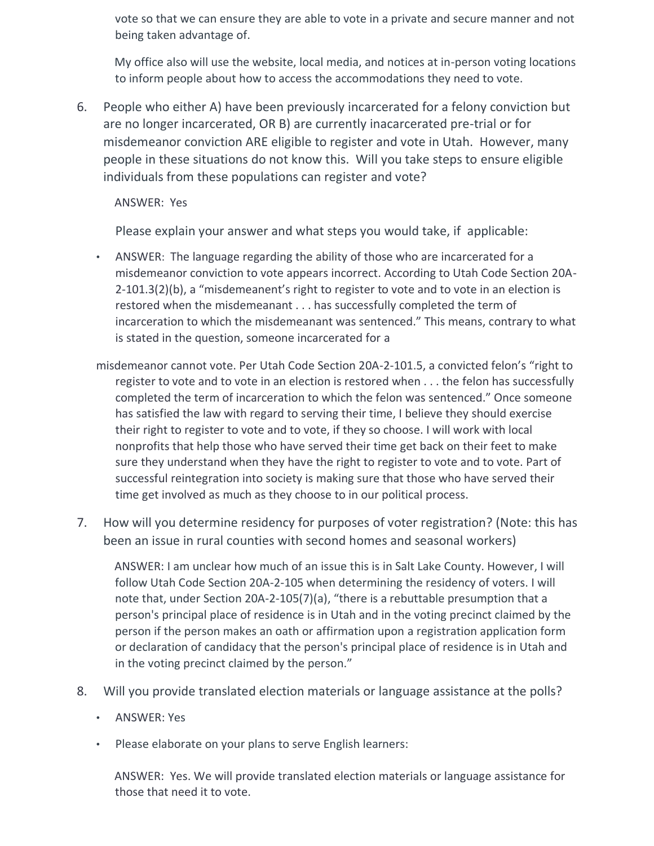vote so that we can ensure they are able to vote in a private and secure manner and not being taken advantage of.

My office also will use the website, local media, and notices at in-person voting locations to inform people about how to access the accommodations they need to vote.

6. People who either A) have been previously incarcerated for a felony conviction but are no longer incarcerated, OR B) are currently inacarcerated pre-trial or for misdemeanor conviction ARE eligible to register and vote in Utah. However, many people in these situations do not know this. Will you take steps to ensure eligible individuals from these populations can register and vote?

ANSWER: Yes

Please explain your answer and what steps you would take, if applicable:

- ANSWER: The language regarding the ability of those who are incarcerated for a misdemeanor conviction to vote appears incorrect. According to Utah Code Section 20A-2-101.3(2)(b), a "misdemeanent's right to register to vote and to vote in an election is restored when the misdemeanant . . . has successfully completed the term of incarceration to which the misdemeanant was sentenced." This means, contrary to what is stated in the question, someone incarcerated for a
- misdemeanor cannot vote. Per Utah Code Section 20A-2-101.5, a convicted felon's "right to register to vote and to vote in an election is restored when . . . the felon has successfully completed the term of incarceration to which the felon was sentenced." Once someone has satisfied the law with regard to serving their time, I believe they should exercise their right to register to vote and to vote, if they so choose. I will work with local nonprofits that help those who have served their time get back on their feet to make sure they understand when they have the right to register to vote and to vote. Part of successful reintegration into society is making sure that those who have served their time get involved as much as they choose to in our political process.
- 7. How will you determine residency for purposes of voter registration? (Note: this has been an issue in rural counties with second homes and seasonal workers)

ANSWER: I am unclear how much of an issue this is in Salt Lake County. However, I will follow Utah Code Section 20A-2-105 when determining the residency of voters. I will note that, under Section 20A-2-105(7)(a), "there is a rebuttable presumption that a person's principal place of residence is in Utah and in the voting precinct claimed by the person if the person makes an oath or affirmation upon a registration application form or declaration of candidacy that the person's principal place of residence is in Utah and in the voting precinct claimed by the person."

- 8. Will you provide translated election materials or language assistance at the polls?
	- ANSWER: Yes
	- Please elaborate on your plans to serve English learners:

ANSWER: Yes. We will provide translated election materials or language assistance for those that need it to vote.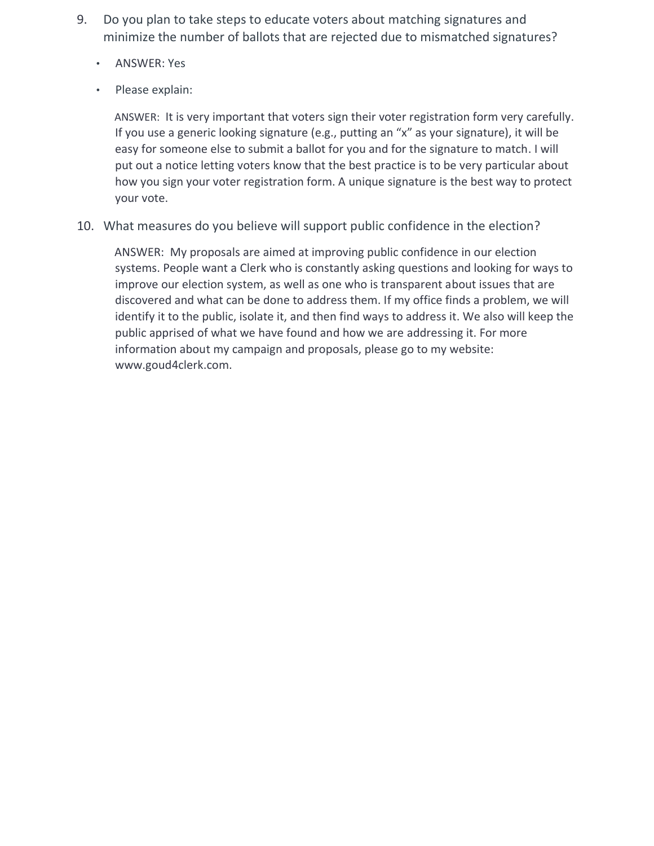- 9. Do you plan to take steps to educate voters about matching signatures and minimize the number of ballots that are rejected due to mismatched signatures?
	- ANSWER: Yes
	- Please explain:

ANSWER: It is very important that voters sign their voter registration form very carefully. If you use a generic looking signature (e.g., putting an "x" as your signature), it will be easy for someone else to submit a ballot for you and for the signature to match. I will put out a notice letting voters know that the best practice is to be very particular about how you sign your voter registration form. A unique signature is the best way to protect your vote.

10. What measures do you believe will support public confidence in the election?

ANSWER: My proposals are aimed at improving public confidence in our election systems. People want a Clerk who is constantly asking questions and looking for ways to improve our election system, as well as one who is transparent about issues that are discovered and what can be done to address them. If my office finds a problem, we will identify it to the public, isolate it, and then find ways to address it. We also will keep the public apprised of what we have found and how we are addressing it. For more information about my campaign and proposals, please go to my website: www.goud4clerk.com.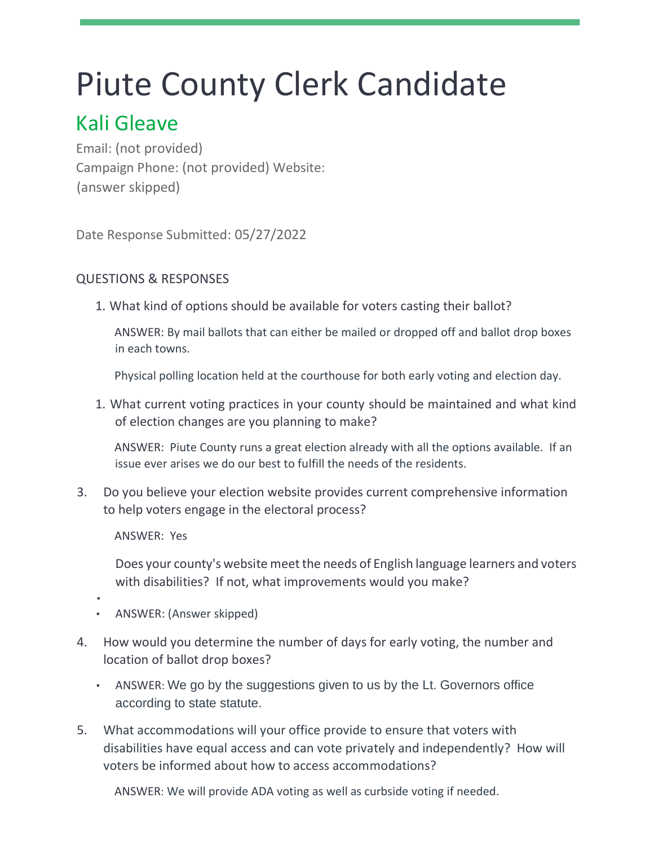## Piute County Clerk Candidate

## Kali Gleave

Email: (not provided) Campaign Phone: (not provided) Website: (answer skipped)

Date Response Submitted: 05/27/2022

## QUESTIONS & RESPONSES

1. What kind of options should be available for voters casting their ballot?

ANSWER: By mail ballots that can either be mailed or dropped off and ballot drop boxes in each towns.

Physical polling location held at the courthouse for both early voting and election day.

1. What current voting practices in your county should be maintained and what kind of election changes are you planning to make?

ANSWER: Piute County runs a great election already with all the options available. If an issue ever arises we do our best to fulfill the needs of the residents.

3. Do you believe your election website provides current comprehensive information to help voters engage in the electoral process?

ANSWER: Yes

Does your county's website meet the needs of English language learners and voters with disabilities? If not, what improvements would you make?

- •
- ANSWER: (Answer skipped)
- 4. How would you determine the number of days for early voting, the number and location of ballot drop boxes?
	- ANSWER: We go by the suggestions given to us by the Lt. Governors office according to state statute.
- 5. What accommodations will your office provide to ensure that voters with disabilities have equal access and can vote privately and independently? How will voters be informed about how to access accommodations?

ANSWER: We will provide ADA voting as well as curbside voting if needed.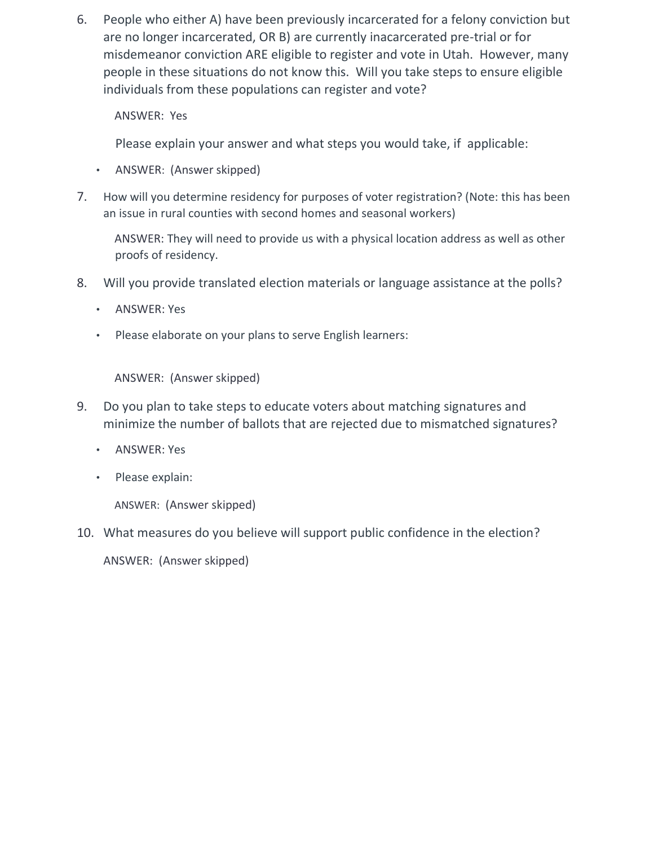6. People who either A) have been previously incarcerated for a felony conviction but are no longer incarcerated, OR B) are currently inacarcerated pre-trial or for misdemeanor conviction ARE eligible to register and vote in Utah. However, many people in these situations do not know this. Will you take steps to ensure eligible individuals from these populations can register and vote?

ANSWER: Yes

Please explain your answer and what steps you would take, if applicable:

- ANSWER: (Answer skipped)
- 7. How will you determine residency for purposes of voter registration? (Note: this has been an issue in rural counties with second homes and seasonal workers)

ANSWER: They will need to provide us with a physical location address as well as other proofs of residency.

- 8. Will you provide translated election materials or language assistance at the polls?
	- ANSWER: Yes
	- Please elaborate on your plans to serve English learners:

ANSWER: (Answer skipped)

- 9. Do you plan to take steps to educate voters about matching signatures and minimize the number of ballots that are rejected due to mismatched signatures?
	- ANSWER: Yes
	- Please explain:

ANSWER: (Answer skipped)

10. What measures do you believe will support public confidence in the election?

ANSWER: (Answer skipped)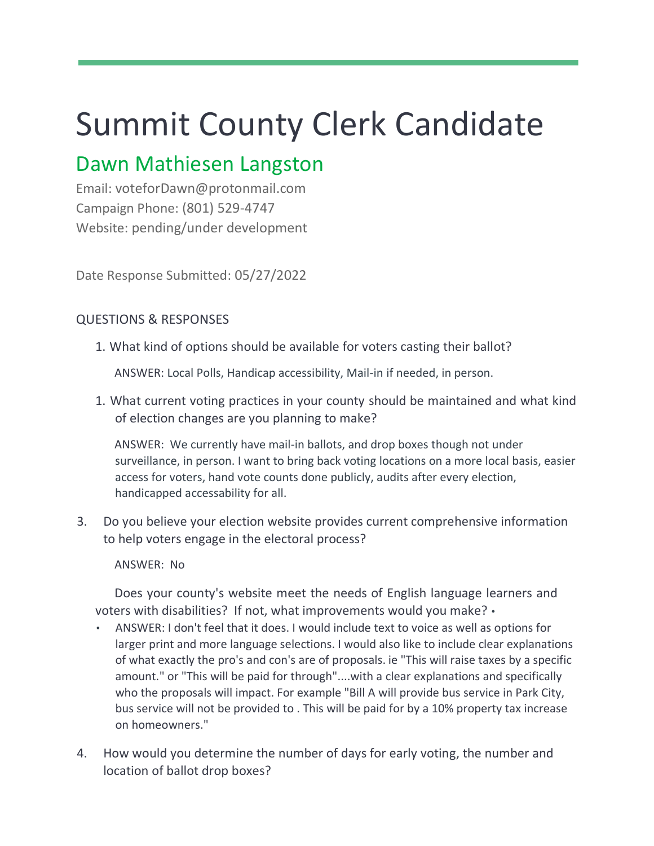# Summit County Clerk Candidate

## Dawn Mathiesen Langston

Email: voteforDawn@protonmail.com Campaign Phone: (801) 529-4747 Website: pending/under development

Date Response Submitted: 05/27/2022

### QUESTIONS & RESPONSES

1. What kind of options should be available for voters casting their ballot?

ANSWER: Local Polls, Handicap accessibility, Mail-in if needed, in person.

1. What current voting practices in your county should be maintained and what kind of election changes are you planning to make?

ANSWER: We currently have mail-in ballots, and drop boxes though not under surveillance, in person. I want to bring back voting locations on a more local basis, easier access for voters, hand vote counts done publicly, audits after every election, handicapped accessability for all.

3. Do you believe your election website provides current comprehensive information to help voters engage in the electoral process?

ANSWER: No

Does your county's website meet the needs of English language learners and voters with disabilities? If not, what improvements would you make? •

- ANSWER: I don't feel that it does. I would include text to voice as well as options for larger print and more language selections. I would also like to include clear explanations of what exactly the pro's and con's are of proposals. ie "This will raise taxes by a specific amount." or "This will be paid for through"....with a clear explanations and specifically who the proposals will impact. For example "Bill A will provide bus service in Park City, bus service will not be provided to . This will be paid for by a 10% property tax increase on homeowners."
- 4. How would you determine the number of days for early voting, the number and location of ballot drop boxes?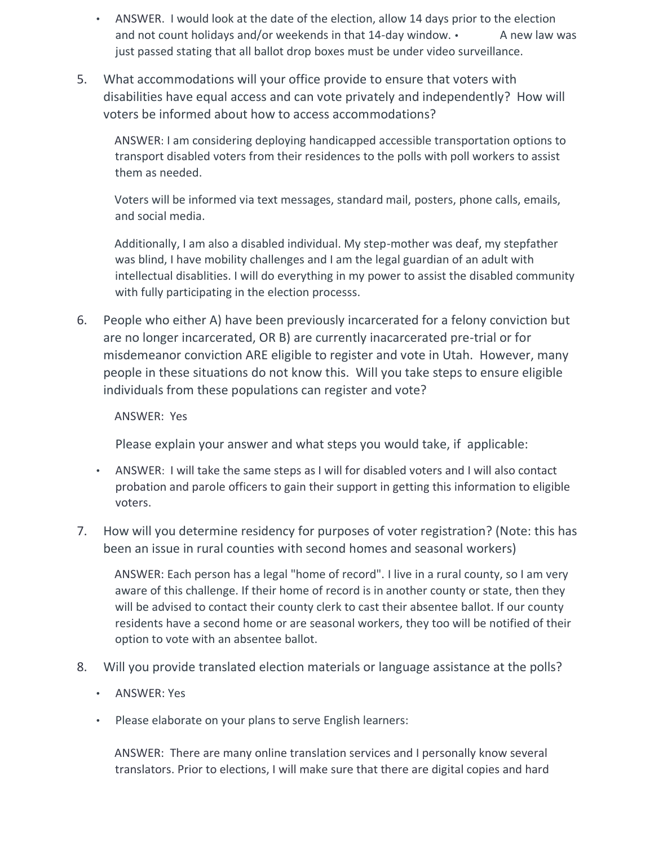- ANSWER. I would look at the date of the election, allow 14 days prior to the election and not count holidays and/or weekends in that  $14$ -day window.  $\cdot$  A new law was just passed stating that all ballot drop boxes must be under video surveillance.
- 5. What accommodations will your office provide to ensure that voters with disabilities have equal access and can vote privately and independently? How will voters be informed about how to access accommodations?

ANSWER: I am considering deploying handicapped accessible transportation options to transport disabled voters from their residences to the polls with poll workers to assist them as needed.

Voters will be informed via text messages, standard mail, posters, phone calls, emails, and social media.

Additionally, I am also a disabled individual. My step-mother was deaf, my stepfather was blind, I have mobility challenges and I am the legal guardian of an adult with intellectual disablities. I will do everything in my power to assist the disabled community with fully participating in the election processs.

6. People who either A) have been previously incarcerated for a felony conviction but are no longer incarcerated, OR B) are currently inacarcerated pre-trial or for misdemeanor conviction ARE eligible to register and vote in Utah. However, many people in these situations do not know this. Will you take steps to ensure eligible individuals from these populations can register and vote?

#### ANSWER: Yes

Please explain your answer and what steps you would take, if applicable:

- ANSWER: I will take the same steps as I will for disabled voters and I will also contact probation and parole officers to gain their support in getting this information to eligible voters.
- 7. How will you determine residency for purposes of voter registration? (Note: this has been an issue in rural counties with second homes and seasonal workers)

ANSWER: Each person has a legal "home of record". I live in a rural county, so I am very aware of this challenge. If their home of record is in another county or state, then they will be advised to contact their county clerk to cast their absentee ballot. If our county residents have a second home or are seasonal workers, they too will be notified of their option to vote with an absentee ballot.

- 8. Will you provide translated election materials or language assistance at the polls?
	- ANSWER: Yes
	- Please elaborate on your plans to serve English learners:

ANSWER: There are many online translation services and I personally know several translators. Prior to elections, I will make sure that there are digital copies and hard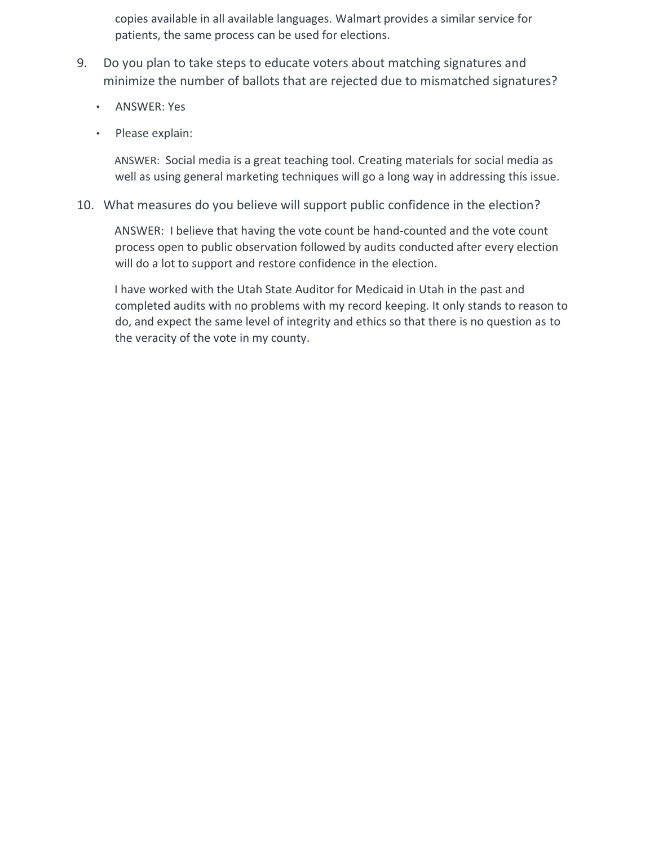copies available in all available languages. Walmart provides a similar service for patients, the same process can be used for elections.

- 9. Do you plan to take steps to educate voters about matching signatures and minimize the number of ballots that are rejected due to mismatched signatures?
	- ANSWER: Yes
	- Please explain:

ANSWER: Social media is a great teaching tool. Creating materials for social media as well as using general marketing techniques will go a long way in addressing this issue.

10. What measures do you believe will support public confidence in the election?

ANSWER: I believe that having the vote count be hand-counted and the vote count process open to public observation followed by audits conducted after every election will do a lot to support and restore confidence in the election.

I have worked with the Utah State Auditor for Medicaid in Utah in the past and completed audits with no problems with my record keeping. It only stands to reason to do, and expect the same level of integrity and ethics so that there is no question as to the veracity of the vote in my county.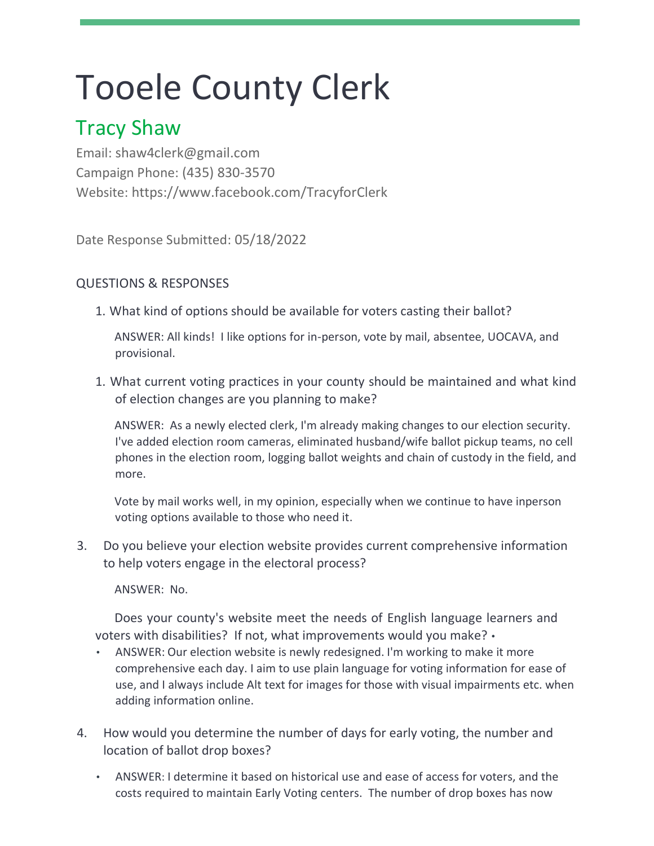# Tooele County Clerk

## Tracy Shaw

Email: shaw4clerk@gmail.com Campaign Phone: (435) 830-3570 Website: https://www.facebook.com/TracyforClerk

Date Response Submitted: 05/18/2022

## QUESTIONS & RESPONSES

1. What kind of options should be available for voters casting their ballot?

ANSWER: All kinds! I like options for in-person, vote by mail, absentee, UOCAVA, and provisional.

1. What current voting practices in your county should be maintained and what kind of election changes are you planning to make?

ANSWER: As a newly elected clerk, I'm already making changes to our election security. I've added election room cameras, eliminated husband/wife ballot pickup teams, no cell phones in the election room, logging ballot weights and chain of custody in the field, and more.

Vote by mail works well, in my opinion, especially when we continue to have inperson voting options available to those who need it.

3. Do you believe your election website provides current comprehensive information to help voters engage in the electoral process?

ANSWER: No.

Does your county's website meet the needs of English language learners and voters with disabilities? If not, what improvements would you make? •

- ANSWER: Our election website is newly redesigned. I'm working to make it more comprehensive each day. I aim to use plain language for voting information for ease of use, and I always include Alt text for images for those with visual impairments etc. when adding information online.
- 4. How would you determine the number of days for early voting, the number and location of ballot drop boxes?
	- ANSWER: I determine it based on historical use and ease of access for voters, and the costs required to maintain Early Voting centers. The number of drop boxes has now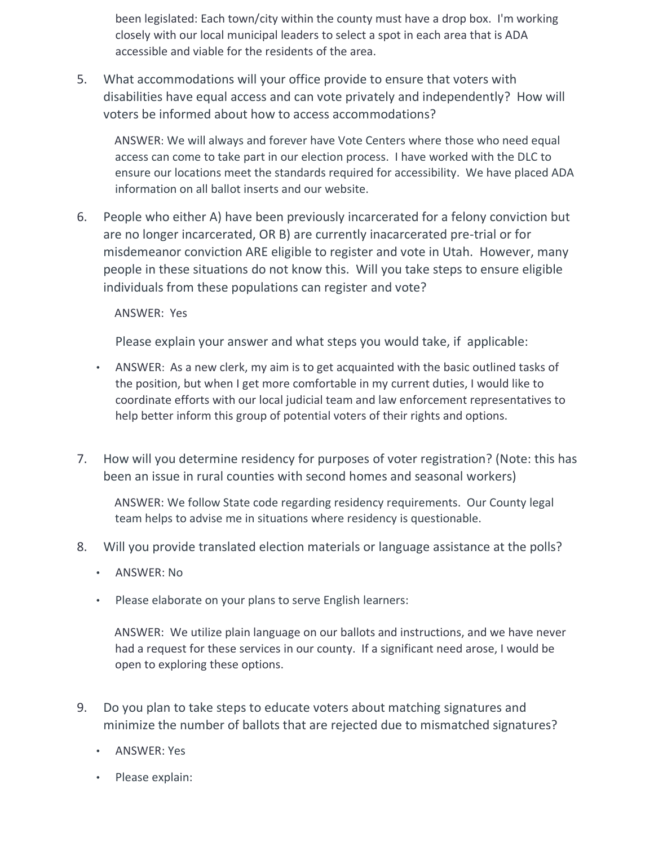been legislated: Each town/city within the county must have a drop box. I'm working closely with our local municipal leaders to select a spot in each area that is ADA accessible and viable for the residents of the area.

5. What accommodations will your office provide to ensure that voters with disabilities have equal access and can vote privately and independently? How will voters be informed about how to access accommodations?

ANSWER: We will always and forever have Vote Centers where those who need equal access can come to take part in our election process. I have worked with the DLC to ensure our locations meet the standards required for accessibility. We have placed ADA information on all ballot inserts and our website.

6. People who either A) have been previously incarcerated for a felony conviction but are no longer incarcerated, OR B) are currently inacarcerated pre-trial or for misdemeanor conviction ARE eligible to register and vote in Utah. However, many people in these situations do not know this. Will you take steps to ensure eligible individuals from these populations can register and vote?

ANSWER: Yes

Please explain your answer and what steps you would take, if applicable:

- ANSWER: As a new clerk, my aim is to get acquainted with the basic outlined tasks of the position, but when I get more comfortable in my current duties, I would like to coordinate efforts with our local judicial team and law enforcement representatives to help better inform this group of potential voters of their rights and options.
- 7. How will you determine residency for purposes of voter registration? (Note: this has been an issue in rural counties with second homes and seasonal workers)

ANSWER: We follow State code regarding residency requirements. Our County legal team helps to advise me in situations where residency is questionable.

- 8. Will you provide translated election materials or language assistance at the polls?
	- ANSWER: No
	- Please elaborate on your plans to serve English learners:

ANSWER: We utilize plain language on our ballots and instructions, and we have never had a request for these services in our county. If a significant need arose, I would be open to exploring these options.

- 9. Do you plan to take steps to educate voters about matching signatures and minimize the number of ballots that are rejected due to mismatched signatures?
	- ANSWER: Yes
	- Please explain: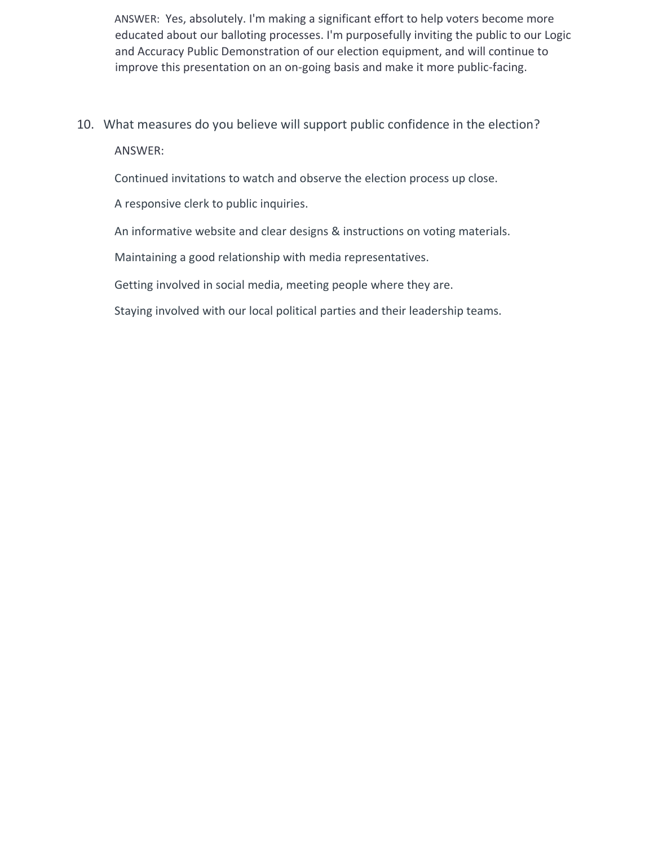ANSWER: Yes, absolutely. I'm making a significant effort to help voters become more educated about our balloting processes. I'm purposefully inviting the public to our Logic and Accuracy Public Demonstration of our election equipment, and will continue to improve this presentation on an on-going basis and make it more public-facing.

10. What measures do you believe will support public confidence in the election? ANSWER:

Continued invitations to watch and observe the election process up close.

A responsive clerk to public inquiries.

An informative website and clear designs & instructions on voting materials.

Maintaining a good relationship with media representatives.

Getting involved in social media, meeting people where they are.

Staying involved with our local political parties and their leadership teams.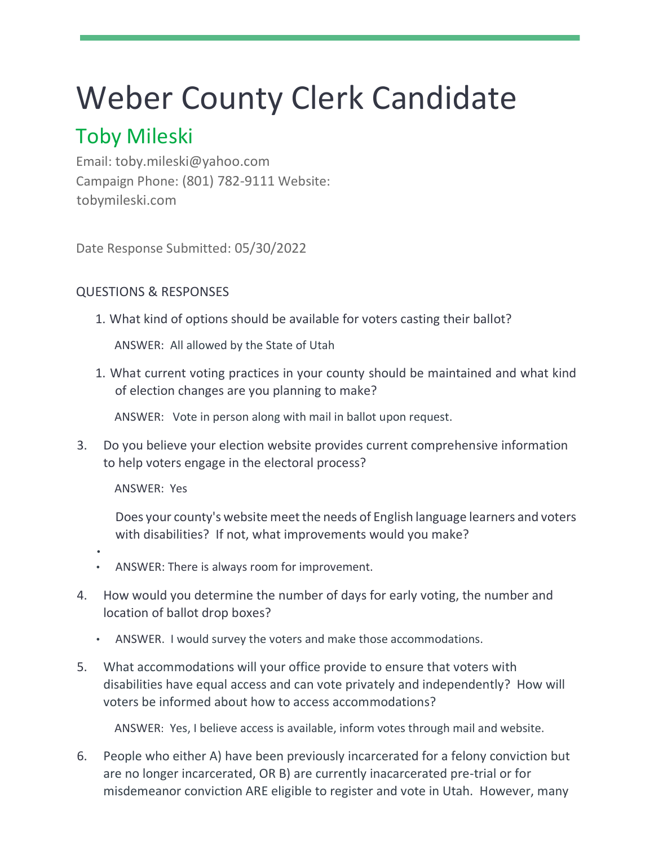## Weber County Clerk Candidate

## Toby Mileski

Email: toby.mileski@yahoo.com Campaign Phone: (801) 782-9111 Website: tobymileski.com

Date Response Submitted: 05/30/2022

### QUESTIONS & RESPONSES

1. What kind of options should be available for voters casting their ballot?

ANSWER: All allowed by the State of Utah

1. What current voting practices in your county should be maintained and what kind of election changes are you planning to make?

ANSWER: Vote in person along with mail in ballot upon request.

3. Do you believe your election website provides current comprehensive information to help voters engage in the electoral process?

ANSWER: Yes

Does your county's website meet the needs of English language learners and voters with disabilities? If not, what improvements would you make?

- •
- ANSWER: There is always room for improvement.
- 4. How would you determine the number of days for early voting, the number and location of ballot drop boxes?
	- ANSWER. I would survey the voters and make those accommodations.
- 5. What accommodations will your office provide to ensure that voters with disabilities have equal access and can vote privately and independently? How will voters be informed about how to access accommodations?

ANSWER: Yes, I believe access is available, inform votes through mail and website.

6. People who either A) have been previously incarcerated for a felony conviction but are no longer incarcerated, OR B) are currently inacarcerated pre-trial or for misdemeanor conviction ARE eligible to register and vote in Utah. However, many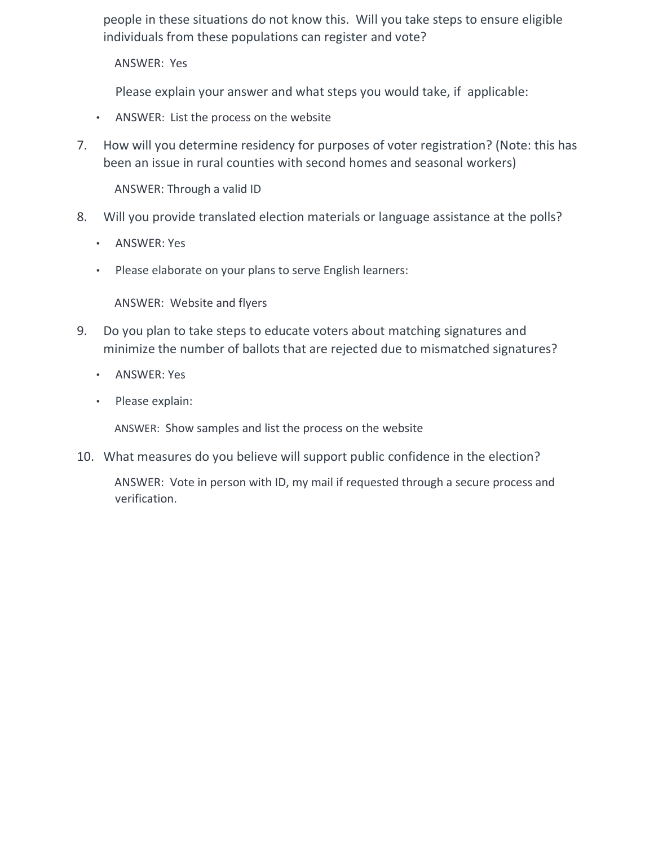people in these situations do not know this. Will you take steps to ensure eligible individuals from these populations can register and vote?

ANSWER: Yes

Please explain your answer and what steps you would take, if applicable:

- ANSWER: List the process on the website
- 7. How will you determine residency for purposes of voter registration? (Note: this has been an issue in rural counties with second homes and seasonal workers)

ANSWER: Through a valid ID

- 8. Will you provide translated election materials or language assistance at the polls?
	- ANSWER: Yes
	- Please elaborate on your plans to serve English learners:

ANSWER: Website and flyers

- 9. Do you plan to take steps to educate voters about matching signatures and minimize the number of ballots that are rejected due to mismatched signatures?
	- ANSWER: Yes
	- Please explain:

ANSWER: Show samples and list the process on the website

10. What measures do you believe will support public confidence in the election?

ANSWER: Vote in person with ID, my mail if requested through a secure process and verification.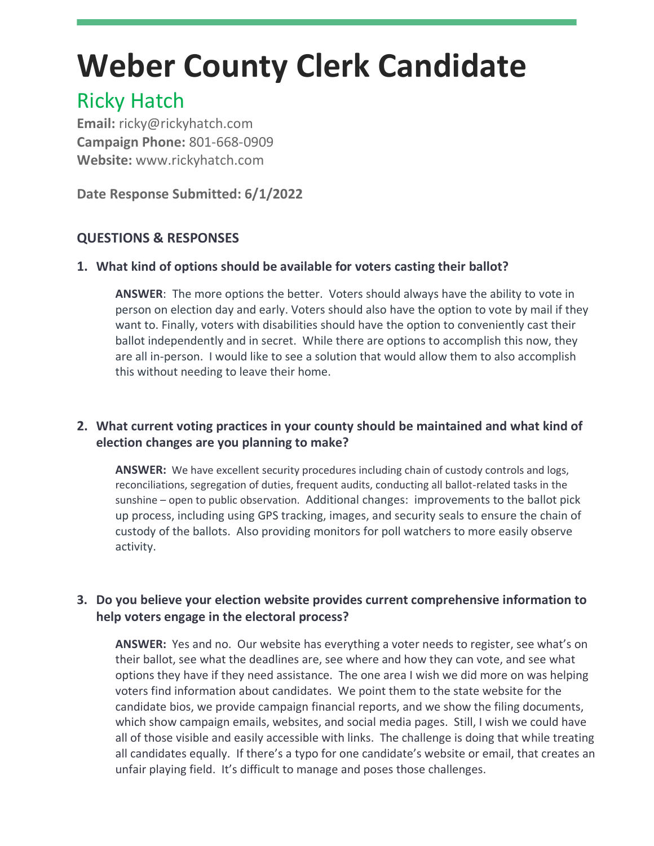## **Weber County Clerk Candidate**

## Ricky Hatch

**Email:** ricky@rickyhatch.com **Campaign Phone:** 801-668-0909 **Website:** www.rickyhatch.com

**Date Response Submitted: 6/1/2022**

## **QUESTIONS & RESPONSES**

## **1. What kind of options should be available for voters casting their ballot?**

**ANSWER**: The more options the better. Voters should always have the ability to vote in person on election day and early. Voters should also have the option to vote by mail if they want to. Finally, voters with disabilities should have the option to conveniently cast their ballot independently and in secret. While there are options to accomplish this now, they are all in-person. I would like to see a solution that would allow them to also accomplish this without needing to leave their home.

## **2. What current voting practices in your county should be maintained and what kind of election changes are you planning to make?**

**ANSWER:** We have excellent security procedures including chain of custody controls and logs, reconciliations, segregation of duties, frequent audits, conducting all ballot-related tasks in the sunshine – open to public observation. Additional changes: improvements to the ballot pick up process, including using GPS tracking, images, and security seals to ensure the chain of custody of the ballots. Also providing monitors for poll watchers to more easily observe activity.

### **3. Do you believe your election website provides current comprehensive information to help voters engage in the electoral process?**

**ANSWER:** Yes and no. Our website has everything a voter needs to register, see what's on their ballot, see what the deadlines are, see where and how they can vote, and see what options they have if they need assistance. The one area I wish we did more on was helping voters find information about candidates. We point them to the state website for the candidate bios, we provide campaign financial reports, and we show the filing documents, which show campaign emails, websites, and social media pages. Still, I wish we could have all of those visible and easily accessible with links. The challenge is doing that while treating all candidates equally. If there's a typo for one candidate's website or email, that creates an unfair playing field. It's difficult to manage and poses those challenges.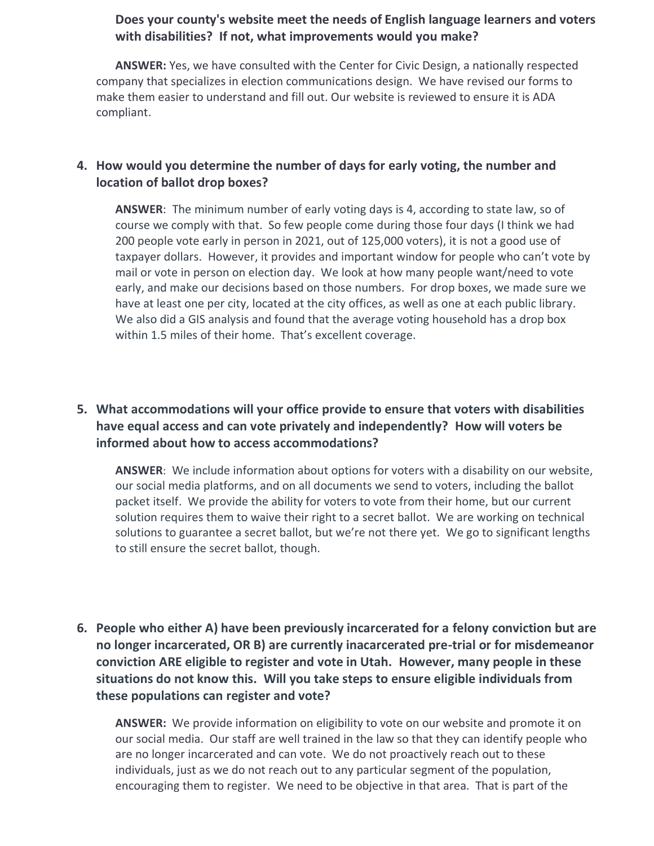#### **Does your county's website meet the needs of English language learners and voters with disabilities? If not, what improvements would you make?**

**ANSWER:** Yes, we have consulted with the Center for Civic Design, a nationally respected company that specializes in election communications design. We have revised our forms to make them easier to understand and fill out. Our website is reviewed to ensure it is ADA compliant.

#### **4. How would you determine the number of days for early voting, the number and location of ballot drop boxes?**

**ANSWER**: The minimum number of early voting days is 4, according to state law, so of course we comply with that. So few people come during those four days (I think we had 200 people vote early in person in 2021, out of 125,000 voters), it is not a good use of taxpayer dollars. However, it provides and important window for people who can't vote by mail or vote in person on election day. We look at how many people want/need to vote early, and make our decisions based on those numbers. For drop boxes, we made sure we have at least one per city, located at the city offices, as well as one at each public library. We also did a GIS analysis and found that the average voting household has a drop box within 1.5 miles of their home. That's excellent coverage.

## **5. What accommodations will your office provide to ensure that voters with disabilities have equal access and can vote privately and independently? How will voters be informed about how to access accommodations?**

**ANSWER**: We include information about options for voters with a disability on our website, our social media platforms, and on all documents we send to voters, including the ballot packet itself. We provide the ability for voters to vote from their home, but our current solution requires them to waive their right to a secret ballot. We are working on technical solutions to guarantee a secret ballot, but we're not there yet. We go to significant lengths to still ensure the secret ballot, though.

**6. People who either A) have been previously incarcerated for a felony conviction but are no longer incarcerated, OR B) are currently inacarcerated pre-trial or for misdemeanor conviction ARE eligible to register and vote in Utah. However, many people in these situations do not know this. Will you take steps to ensure eligible individuals from these populations can register and vote?**

**ANSWER:** We provide information on eligibility to vote on our website and promote it on our social media. Our staff are well trained in the law so that they can identify people who are no longer incarcerated and can vote. We do not proactively reach out to these individuals, just as we do not reach out to any particular segment of the population, encouraging them to register. We need to be objective in that area. That is part of the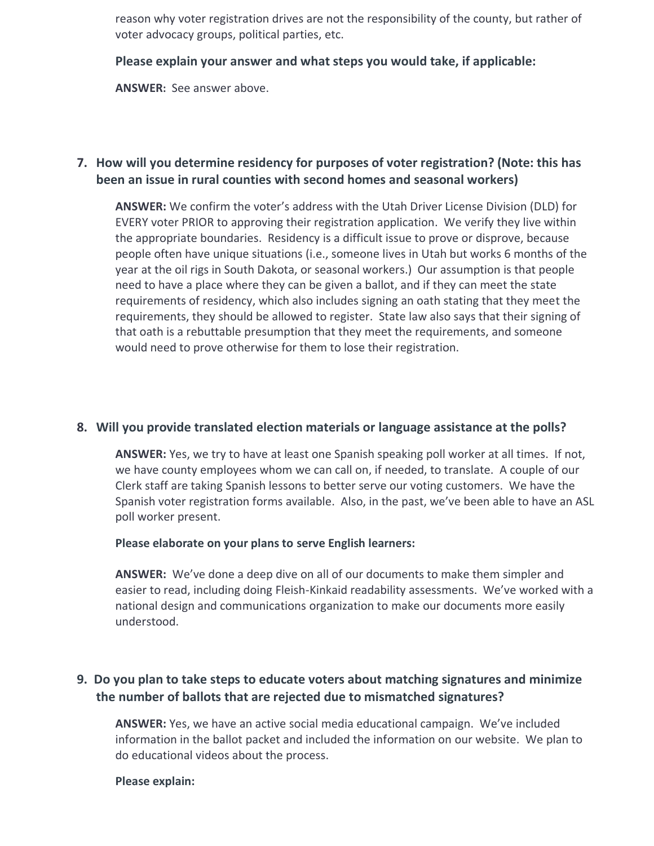reason why voter registration drives are not the responsibility of the county, but rather of voter advocacy groups, political parties, etc.

**Please explain your answer and what steps you would take, if applicable:**

**ANSWER:** See answer above.

### **7. How will you determine residency for purposes of voter registration? (Note: this has been an issue in rural counties with second homes and seasonal workers)**

**ANSWER:** We confirm the voter's address with the Utah Driver License Division (DLD) for EVERY voter PRIOR to approving their registration application. We verify they live within the appropriate boundaries. Residency is a difficult issue to prove or disprove, because people often have unique situations (i.e., someone lives in Utah but works 6 months of the year at the oil rigs in South Dakota, or seasonal workers.) Our assumption is that people need to have a place where they can be given a ballot, and if they can meet the state requirements of residency, which also includes signing an oath stating that they meet the requirements, they should be allowed to register. State law also says that their signing of that oath is a rebuttable presumption that they meet the requirements, and someone would need to prove otherwise for them to lose their registration.

#### **8. Will you provide translated election materials or language assistance at the polls?**

**ANSWER:** Yes, we try to have at least one Spanish speaking poll worker at all times. If not, we have county employees whom we can call on, if needed, to translate. A couple of our Clerk staff are taking Spanish lessons to better serve our voting customers. We have the Spanish voter registration forms available. Also, in the past, we've been able to have an ASL poll worker present.

**Please elaborate on your plans to serve English learners:**

**ANSWER:** We've done a deep dive on all of our documents to make them simpler and easier to read, including doing Fleish-Kinkaid readability assessments. We've worked with a national design and communications organization to make our documents more easily understood.

#### **9. Do you plan to take steps to educate voters about matching signatures and minimize the number of ballots that are rejected due to mismatched signatures?**

**ANSWER:** Yes, we have an active social media educational campaign. We've included information in the ballot packet and included the information on our website. We plan to do educational videos about the process.

#### **Please explain:**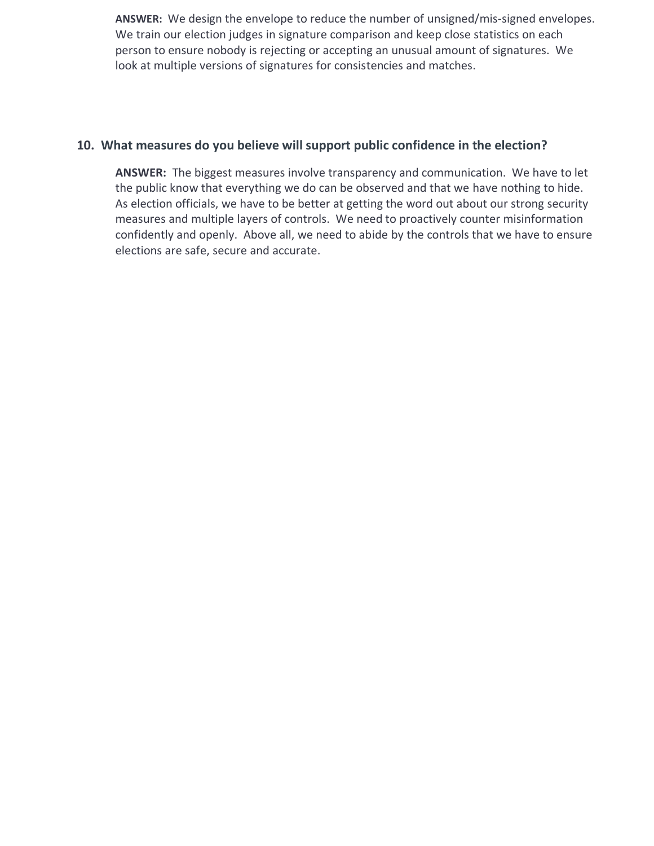**ANSWER:** We design the envelope to reduce the number of unsigned/mis-signed envelopes. We train our election judges in signature comparison and keep close statistics on each person to ensure nobody is rejecting or accepting an unusual amount of signatures. We look at multiple versions of signatures for consistencies and matches.

#### **10. What measures do you believe will support public confidence in the election?**

**ANSWER:** The biggest measures involve transparency and communication. We have to let the public know that everything we do can be observed and that we have nothing to hide. As election officials, we have to be better at getting the word out about our strong security measures and multiple layers of controls. We need to proactively counter misinformation confidently and openly. Above all, we need to abide by the controls that we have to ensure elections are safe, secure and accurate.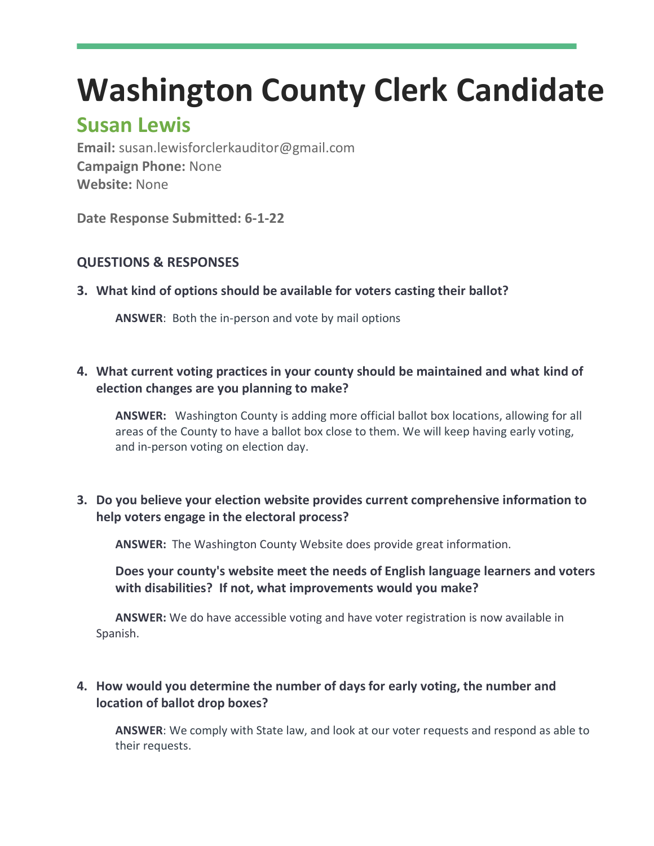## **Washington County Clerk Candidate**

## **Susan Lewis**

**Email:** susan.lewisforclerkauditor@gmail.com **Campaign Phone:** None **Website:** None

**Date Response Submitted: 6-1-22**

## **QUESTIONS & RESPONSES**

**3. What kind of options should be available for voters casting their ballot?**

**ANSWER**: Both the in-person and vote by mail options

### **4. What current voting practices in your county should be maintained and what kind of election changes are you planning to make?**

**ANSWER:** Washington County is adding more official ballot box locations, allowing for all areas of the County to have a ballot box close to them. We will keep having early voting, and in-person voting on election day.

## **3. Do you believe your election website provides current comprehensive information to help voters engage in the electoral process?**

**ANSWER:** The Washington County Website does provide great information.

**Does your county's website meet the needs of English language learners and voters with disabilities? If not, what improvements would you make?**

**ANSWER:** We do have accessible voting and have voter registration is now available in Spanish.

## **4. How would you determine the number of days for early voting, the number and location of ballot drop boxes?**

**ANSWER**: We comply with State law, and look at our voter requests and respond as able to their requests.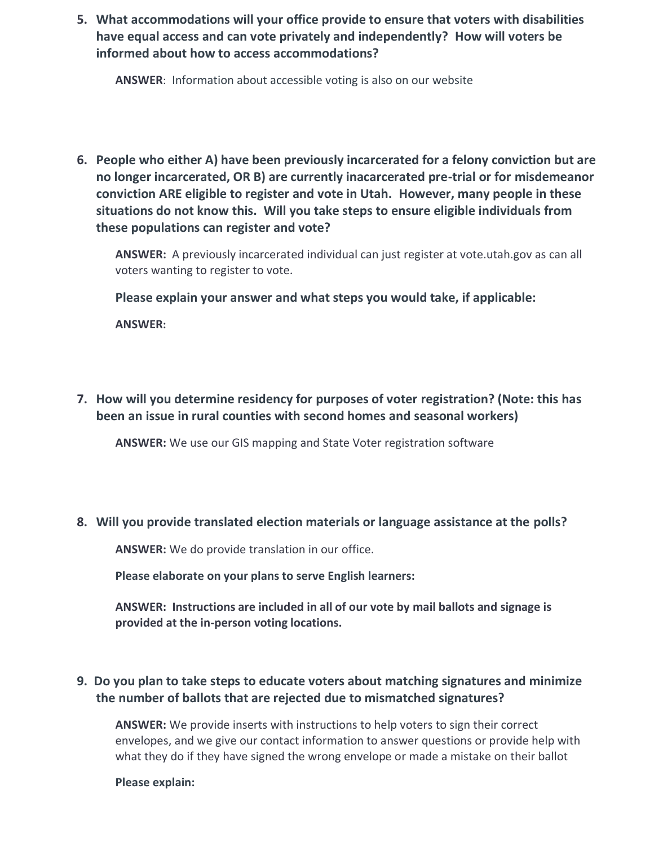**5. What accommodations will your office provide to ensure that voters with disabilities have equal access and can vote privately and independently? How will voters be informed about how to access accommodations?**

**ANSWER**: Information about accessible voting is also on our website

**6. People who either A) have been previously incarcerated for a felony conviction but are no longer incarcerated, OR B) are currently inacarcerated pre-trial or for misdemeanor conviction ARE eligible to register and vote in Utah. However, many people in these situations do not know this. Will you take steps to ensure eligible individuals from these populations can register and vote?**

**ANSWER:** A previously incarcerated individual can just register at vote.utah.gov as can all voters wanting to register to vote.

**Please explain your answer and what steps you would take, if applicable:**

**ANSWER:** 

**7. How will you determine residency for purposes of voter registration? (Note: this has been an issue in rural counties with second homes and seasonal workers)**

**ANSWER:** We use our GIS mapping and State Voter registration software

#### **8. Will you provide translated election materials or language assistance at the polls?**

**ANSWER:** We do provide translation in our office.

**Please elaborate on your plans to serve English learners:**

**ANSWER: Instructions are included in all of our vote by mail ballots and signage is provided at the in-person voting locations.** 

#### **9. Do you plan to take steps to educate voters about matching signatures and minimize the number of ballots that are rejected due to mismatched signatures?**

**ANSWER:** We provide inserts with instructions to help voters to sign their correct envelopes, and we give our contact information to answer questions or provide help with what they do if they have signed the wrong envelope or made a mistake on their ballot

#### **Please explain:**